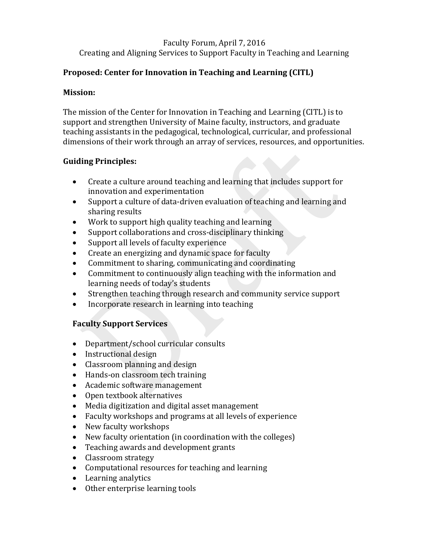### Faculty Forum, April 7, 2016 Creating and Aligning Services to Support Faculty in Teaching and Learning

# **Proposed: Center for Innovation in Teaching and Learning (CITL)**

### **Mission:**

The mission of the Center for Innovation in Teaching and Learning (CITL) is to support and strengthen University of Maine faculty, instructors, and graduate teaching assistants in the pedagogical, technological, curricular, and professional dimensions of their work through an array of services, resources, and opportunities.

# **Guiding Principles:**

- Create a culture around teaching and learning that includes support for innovation and experimentation
- Support a culture of data-driven evaluation of teaching and learning and sharing results
- Work to support high quality teaching and learning
- Support collaborations and cross-disciplinary thinking
- Support all levels of faculty experience
- Create an energizing and dynamic space for faculty
- Commitment to sharing, communicating and coordinating
- Commitment to continuously align teaching with the information and learning needs of today's students
- Strengthen teaching through research and community service support
- Incorporate research in learning into teaching

### **Faculty Support Services**

- Department/school curricular consults
- Instructional design
- Classroom planning and design
- Hands-on classroom tech training
- Academic software management
- Open textbook alternatives
- Media digitization and digital asset management
- Faculty workshops and programs at all levels of experience
- New faculty workshops
- New faculty orientation (in coordination with the colleges)
- Teaching awards and development grants
- Classroom strategy
- Computational resources for teaching and learning
- Learning analytics
- Other enterprise learning tools